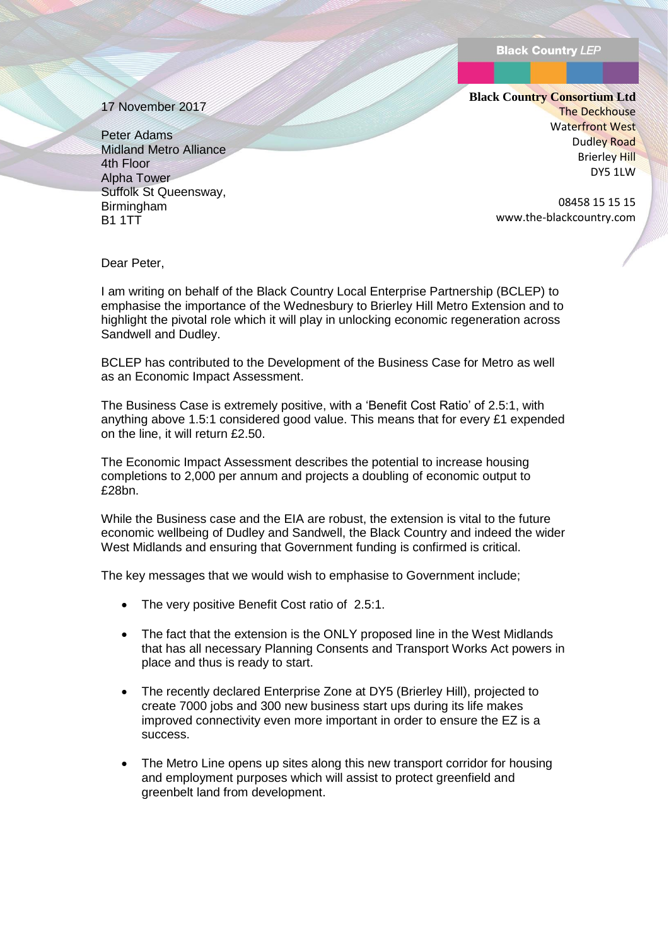17 November 2017

Peter Adams Midland Metro Alliance 4th Floor Alpha Tower Suffolk St Queensway, **Birmingham B1 1TT** 

**Black Country Consortium Ltd** The Deckhouse Waterfront West Dudley Road Brierley Hill DY5 1LW

> 08458 15 15 15 www.the-blackcountry.com

Dear Peter,

I am writing on behalf of the Black Country Local Enterprise Partnership (BCLEP) to emphasise the importance of the Wednesbury to Brierley Hill Metro Extension and to highlight the pivotal role which it will play in unlocking economic regeneration across Sandwell and Dudley.

BCLEP has contributed to the Development of the Business Case for Metro as well as an Economic Impact Assessment.

The Business Case is extremely positive, with a 'Benefit Cost Ratio' of 2.5:1, with anything above 1.5:1 considered good value. This means that for every £1 expended on the line, it will return £2.50.

The Economic Impact Assessment describes the potential to increase housing completions to 2,000 per annum and projects a doubling of economic output to £28bn.

While the Business case and the EIA are robust, the extension is vital to the future economic wellbeing of Dudley and Sandwell, the Black Country and indeed the wider West Midlands and ensuring that Government funding is confirmed is critical.

The key messages that we would wish to emphasise to Government include;

- The very positive Benefit Cost ratio of 2.5:1.
- The fact that the extension is the ONLY proposed line in the West Midlands that has all necessary Planning Consents and Transport Works Act powers in place and thus is ready to start.
- The recently declared Enterprise Zone at DY5 (Brierley Hill), projected to create 7000 jobs and 300 new business start ups during its life makes improved connectivity even more important in order to ensure the EZ is a success.
- The Metro Line opens up sites along this new transport corridor for housing and employment purposes which will assist to protect greenfield and greenbelt land from development.